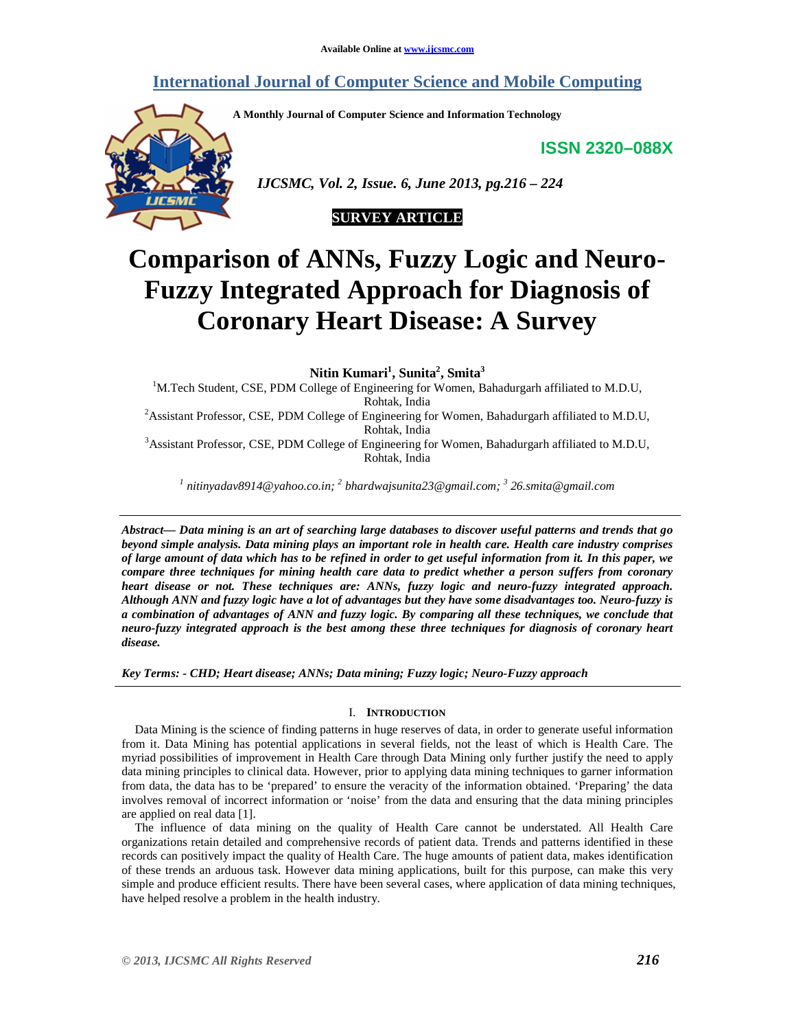# **International Journal of Computer Science and Mobile Computing**

**A Monthly Journal of Computer Science and Information Technology** 

**ISSN 2320–088X**



 *IJCSMC, Vol. 2, Issue. 6, June 2013, pg.216 – 224* 



# **Comparison of ANNs, Fuzzy Logic and Neuro-Fuzzy Integrated Approach for Diagnosis of Coronary Heart Disease: A Survey**

**Nitin Kumari<sup>1</sup> , Sunita<sup>2</sup> , Smita<sup>3</sup>**

<sup>1</sup>M.Tech Student, CSE, PDM College of Engineering for Women, Bahadurgarh affiliated to M.D.U, Rohtak, India

<sup>2</sup> Assistant Professor, CSE, PDM College of Engineering for Women, Bahadurgarh affiliated to M.D.U, Rohtak, India

<sup>3</sup>Assistant Professor, CSE, PDM College of Engineering for Women, Bahadurgarh affiliated to M.D.U, Rohtak, India

*1 nitinyadav8914@yahoo.co.in; <sup>2</sup> bhardwajsunita23@gmail.com; <sup>3</sup> 26.smita@gmail.com* 

*Abstract— Data mining is an art of searching large databases to discover useful patterns and trends that go beyond simple analysis. Data mining plays an important role in health care. Health care industry comprises of large amount of data which has to be refined in order to get useful information from it. In this paper, we compare three techniques for mining health care data to predict whether a person suffers from coronary heart disease or not. These techniques are: ANNs, fuzzy logic and neuro-fuzzy integrated approach. Although ANN and fuzzy logic have a lot of advantages but they have some disadvantages too. Neuro-fuzzy is a combination of advantages of ANN and fuzzy logic. By comparing all these techniques, we conclude that neuro-fuzzy integrated approach is the best among these three techniques for diagnosis of coronary heart disease.* 

*Key Terms: - CHD; Heart disease; ANNs; Data mining; Fuzzy logic; Neuro-Fuzzy approach* 

# I. **INTRODUCTION**

Data Mining is the science of finding patterns in huge reserves of data, in order to generate useful information from it. Data Mining has potential applications in several fields, not the least of which is Health Care. The myriad possibilities of improvement in Health Care through Data Mining only further justify the need to apply data mining principles to clinical data. However, prior to applying data mining techniques to garner information from data, the data has to be 'prepared' to ensure the veracity of the information obtained. 'Preparing' the data involves removal of incorrect information or 'noise' from the data and ensuring that the data mining principles are applied on real data [1].

The influence of data mining on the quality of Health Care cannot be understated. All Health Care organizations retain detailed and comprehensive records of patient data. Trends and patterns identified in these records can positively impact the quality of Health Care. The huge amounts of patient data, makes identification of these trends an arduous task. However data mining applications, built for this purpose, can make this very simple and produce efficient results. There have been several cases, where application of data mining techniques, have helped resolve a problem in the health industry.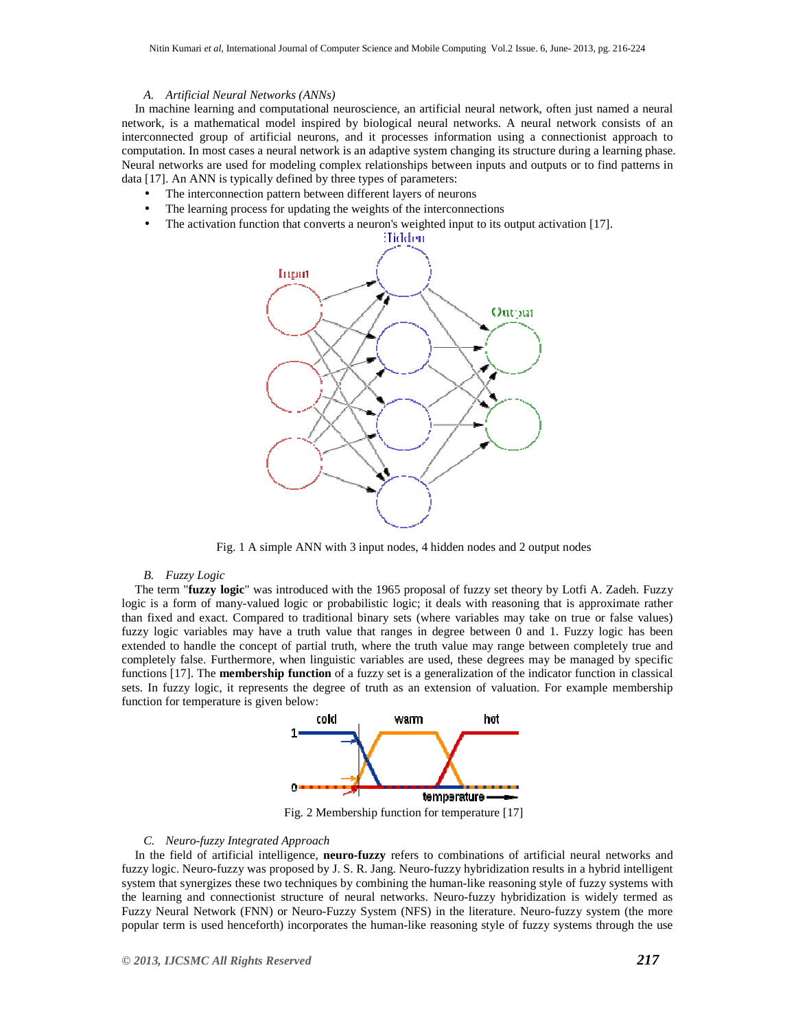## *A. Artificial Neural Networks (ANNs)*

In machine learning and computational neuroscience, an artificial neural network, often just named a neural network, is a mathematical model inspired by biological neural networks. A neural network consists of an interconnected group of artificial neurons, and it processes information using a connectionist approach to computation. In most cases a neural network is an adaptive system changing its structure during a learning phase. Neural networks are used for modeling complex relationships between inputs and outputs or to find patterns in data [17]. An ANN is typically defined by three types of parameters:

- The interconnection pattern between different layers of neurons
- The learning process for updating the weights of the interconnections
- The activation function that converts a neuron's weighted input to its output activation [17].



Fig. 1 A simple ANN with 3 input nodes, 4 hidden nodes and 2 output nodes

#### *B. Fuzzy Logic*

The term "**fuzzy logic**" was introduced with the 1965 proposal of fuzzy set theory by Lotfi A. Zadeh. Fuzzy logic is a form of many-valued logic or probabilistic logic; it deals with reasoning that is approximate rather than fixed and exact. Compared to traditional binary sets (where variables may take on true or false values) fuzzy logic variables may have a truth value that ranges in degree between 0 and 1. Fuzzy logic has been extended to handle the concept of partial truth, where the truth value may range between completely true and completely false. Furthermore, when linguistic variables are used, these degrees may be managed by specific functions [17]. The **membership function** of a fuzzy set is a generalization of the indicator function in classical sets. In fuzzy logic, it represents the degree of truth as an extension of valuation. For example membership function for temperature is given below:



Fig. 2 Membership function for temperature [17]

#### *C. Neuro-fuzzy Integrated Approach*

In the field of artificial intelligence, **neuro-fuzzy** refers to combinations of artificial neural networks and fuzzy logic. Neuro-fuzzy was proposed by J. S. R. Jang. Neuro-fuzzy hybridization results in a hybrid intelligent system that synergizes these two techniques by combining the human-like reasoning style of fuzzy systems with the learning and connectionist structure of neural networks. Neuro-fuzzy hybridization is widely termed as Fuzzy Neural Network (FNN) or Neuro-Fuzzy System (NFS) in the literature. Neuro-fuzzy system (the more popular term is used henceforth) incorporates the human-like reasoning style of fuzzy systems through the use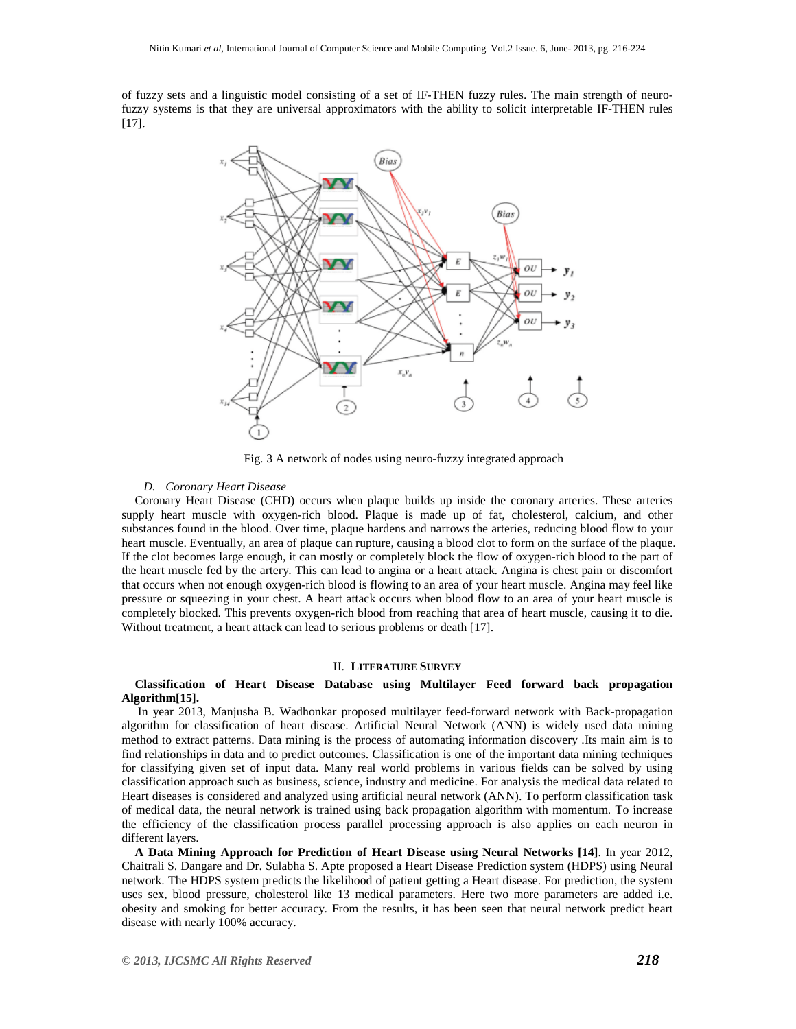of fuzzy sets and a linguistic model consisting of a set of IF-THEN fuzzy rules. The main strength of neurofuzzy systems is that they are universal approximators with the ability to solicit interpretable IF-THEN rules [17].



Fig. 3 A network of nodes using neuro-fuzzy integrated approach

#### *D. Coronary Heart Disease*

Coronary Heart Disease (CHD) occurs when plaque builds up inside the coronary arteries. These arteries supply heart muscle with oxygen-rich blood. Plaque is made up of fat, cholesterol, calcium, and other substances found in the blood. Over time, plaque hardens and narrows the arteries, reducing blood flow to your heart muscle. Eventually, an area of plaque can rupture, causing a blood clot to form on the surface of the plaque. If the clot becomes large enough, it can mostly or completely block the flow of oxygen-rich blood to the part of the heart muscle fed by the artery. This can lead to angina or a heart attack. Angina is chest pain or discomfort that occurs when not enough oxygen-rich blood is flowing to an area of your heart muscle. Angina may feel like pressure or squeezing in your chest. A heart attack occurs when blood flow to an area of your heart muscle is completely blocked. This prevents oxygen-rich blood from reaching that area of heart muscle, causing it to die. Without treatment, a heart attack can lead to serious problems or death [17].

## II. **LITERATURE SURVEY**

#### **Classification of Heart Disease Database using Multilayer Feed forward back propagation Algorithm[15].**

 In year 2013, Manjusha B. Wadhonkar proposed multilayer feed-forward network with Back-propagation algorithm for classification of heart disease. Artificial Neural Network (ANN) is widely used data mining method to extract patterns. Data mining is the process of automating information discovery .Its main aim is to find relationships in data and to predict outcomes. Classification is one of the important data mining techniques for classifying given set of input data. Many real world problems in various fields can be solved by using classification approach such as business, science, industry and medicine. For analysis the medical data related to Heart diseases is considered and analyzed using artificial neural network (ANN). To perform classification task of medical data, the neural network is trained using back propagation algorithm with momentum. To increase the efficiency of the classification process parallel processing approach is also applies on each neuron in different layers.

**A Data Mining Approach for Prediction of Heart Disease using Neural Networks [14]**. In year 2012, Chaitrali S. Dangare and Dr. Sulabha S. Apte proposed a Heart Disease Prediction system (HDPS) using Neural network. The HDPS system predicts the likelihood of patient getting a Heart disease. For prediction, the system uses sex, blood pressure, cholesterol like 13 medical parameters. Here two more parameters are added i.e. obesity and smoking for better accuracy. From the results, it has been seen that neural network predict heart disease with nearly 100% accuracy.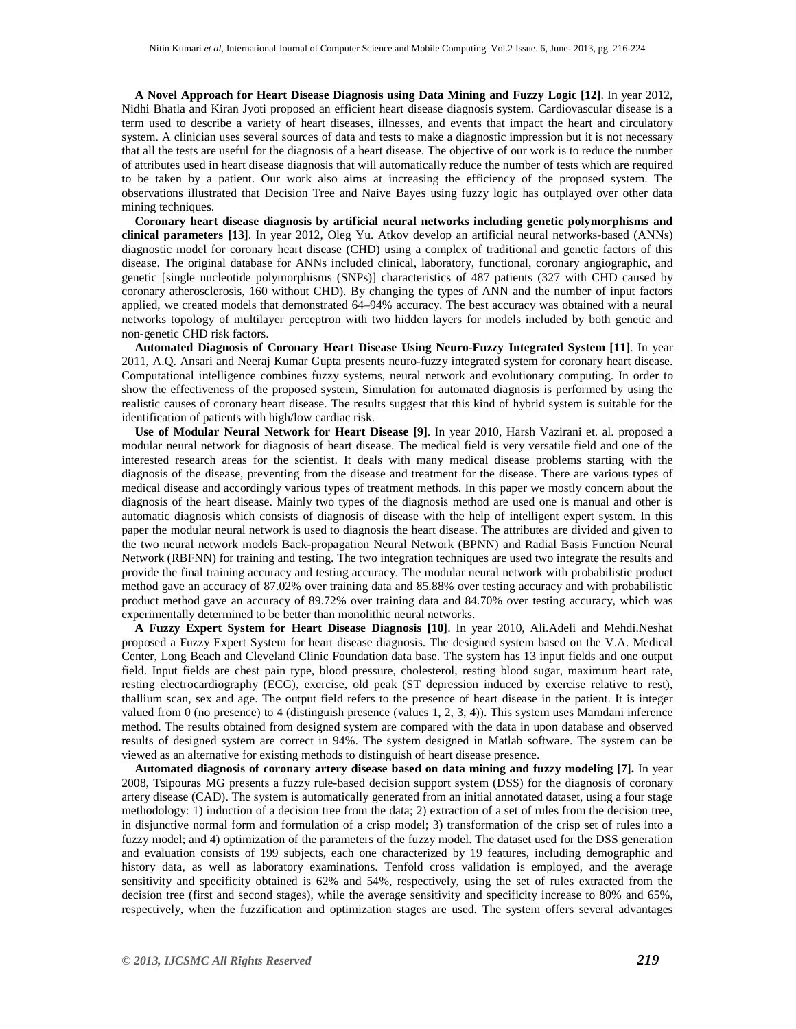**A Novel Approach for Heart Disease Diagnosis using Data Mining and Fuzzy Logic [12]**. In year 2012, Nidhi Bhatla and Kiran Jyoti proposed an efficient heart disease diagnosis system. Cardiovascular disease is a term used to describe a variety of heart diseases, illnesses, and events that impact the heart and circulatory system. A clinician uses several sources of data and tests to make a diagnostic impression but it is not necessary that all the tests are useful for the diagnosis of a heart disease. The objective of our work is to reduce the number of attributes used in heart disease diagnosis that will automatically reduce the number of tests which are required to be taken by a patient. Our work also aims at increasing the efficiency of the proposed system. The observations illustrated that Decision Tree and Naive Bayes using fuzzy logic has outplayed over other data mining techniques.

**Coronary heart disease diagnosis by artificial neural networks including genetic polymorphisms and clinical parameters [13]**. In year 2012, Oleg Yu. Atkov develop an artificial neural networks-based (ANNs) diagnostic model for coronary heart disease (CHD) using a complex of traditional and genetic factors of this disease. The original database for ANNs included clinical, laboratory, functional, coronary angiographic, and genetic [single nucleotide polymorphisms (SNPs)] characteristics of 487 patients (327 with CHD caused by coronary atherosclerosis, 160 without CHD). By changing the types of ANN and the number of input factors applied, we created models that demonstrated 64–94% accuracy. The best accuracy was obtained with a neural networks topology of multilayer perceptron with two hidden layers for models included by both genetic and non-genetic CHD risk factors.

**Automated Diagnosis of Coronary Heart Disease Using Neuro-Fuzzy Integrated System [11]**. In year 2011, A.Q. Ansari and Neeraj Kumar Gupta presents neuro-fuzzy integrated system for coronary heart disease. Computational intelligence combines fuzzy systems, neural network and evolutionary computing. In order to show the effectiveness of the proposed system, Simulation for automated diagnosis is performed by using the realistic causes of coronary heart disease. The results suggest that this kind of hybrid system is suitable for the identification of patients with high/low cardiac risk.

**Use of Modular Neural Network for Heart Disease [9]**. In year 2010, Harsh Vazirani et. al. proposed a modular neural network for diagnosis of heart disease. The medical field is very versatile field and one of the interested research areas for the scientist. It deals with many medical disease problems starting with the diagnosis of the disease, preventing from the disease and treatment for the disease. There are various types of medical disease and accordingly various types of treatment methods. In this paper we mostly concern about the diagnosis of the heart disease. Mainly two types of the diagnosis method are used one is manual and other is automatic diagnosis which consists of diagnosis of disease with the help of intelligent expert system. In this paper the modular neural network is used to diagnosis the heart disease. The attributes are divided and given to the two neural network models Back-propagation Neural Network (BPNN) and Radial Basis Function Neural Network (RBFNN) for training and testing. The two integration techniques are used two integrate the results and provide the final training accuracy and testing accuracy. The modular neural network with probabilistic product method gave an accuracy of 87.02% over training data and 85.88% over testing accuracy and with probabilistic product method gave an accuracy of 89.72% over training data and 84.70% over testing accuracy, which was experimentally determined to be better than monolithic neural networks.

**A Fuzzy Expert System for Heart Disease Diagnosis [10]**. In year 2010, Ali.Adeli and Mehdi.Neshat proposed a Fuzzy Expert System for heart disease diagnosis. The designed system based on the V.A. Medical Center, Long Beach and Cleveland Clinic Foundation data base. The system has 13 input fields and one output field. Input fields are chest pain type, blood pressure, cholesterol, resting blood sugar, maximum heart rate, resting electrocardiography (ECG), exercise, old peak (ST depression induced by exercise relative to rest), thallium scan, sex and age. The output field refers to the presence of heart disease in the patient. It is integer valued from 0 (no presence) to 4 (distinguish presence (values 1, 2, 3, 4)). This system uses Mamdani inference method. The results obtained from designed system are compared with the data in upon database and observed results of designed system are correct in 94%. The system designed in Matlab software. The system can be viewed as an alternative for existing methods to distinguish of heart disease presence.

**Automated diagnosis of coronary artery disease based on data mining and fuzzy modeling [7].** In year 2008, Tsipouras MG presents a fuzzy rule-based decision support system (DSS) for the diagnosis of coronary artery disease (CAD). The system is automatically generated from an initial annotated dataset, using a four stage methodology: 1) induction of a decision tree from the data; 2) extraction of a set of rules from the decision tree, in disjunctive normal form and formulation of a crisp model; 3) transformation of the crisp set of rules into a fuzzy model; and 4) optimization of the parameters of the fuzzy model. The dataset used for the DSS generation and evaluation consists of 199 subjects, each one characterized by 19 features, including demographic and history data, as well as laboratory examinations. Tenfold cross validation is employed, and the average sensitivity and specificity obtained is 62% and 54%, respectively, using the set of rules extracted from the decision tree (first and second stages), while the average sensitivity and specificity increase to 80% and 65%, respectively, when the fuzzification and optimization stages are used. The system offers several advantages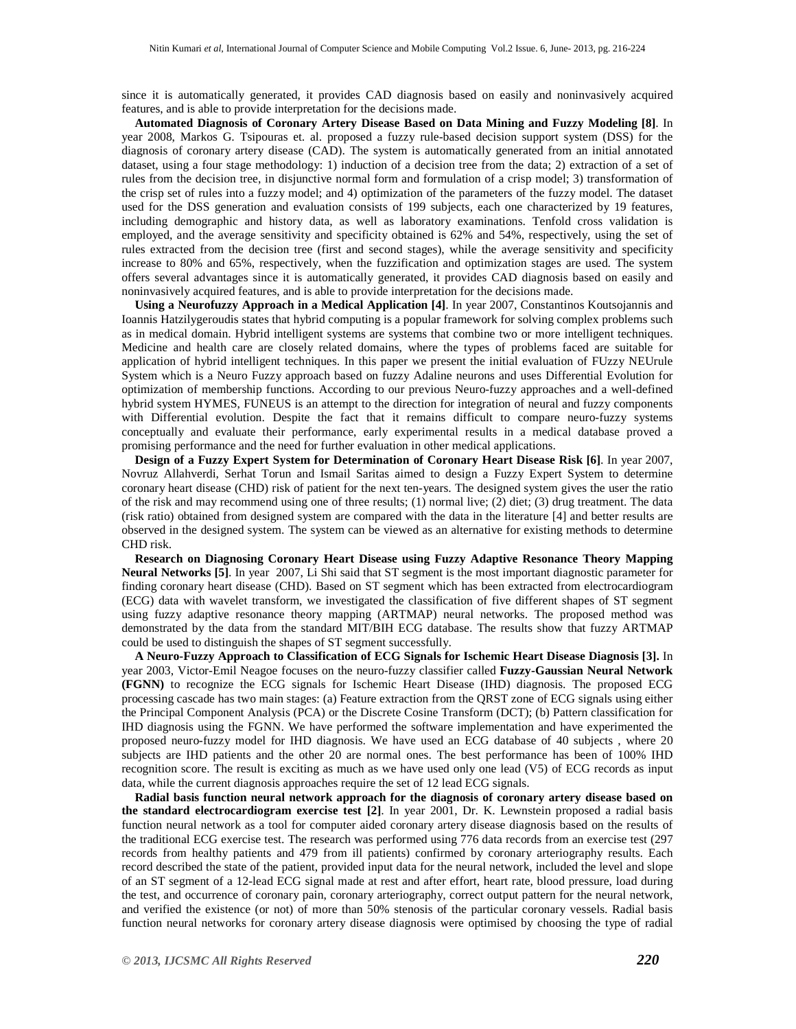since it is automatically generated, it provides CAD diagnosis based on easily and noninvasively acquired features, and is able to provide interpretation for the decisions made.

**Automated Diagnosis of Coronary Artery Disease Based on Data Mining and Fuzzy Modeling [8]**. In year 2008, Markos G. Tsipouras et. al. proposed a fuzzy rule-based decision support system (DSS) for the diagnosis of coronary artery disease (CAD). The system is automatically generated from an initial annotated dataset, using a four stage methodology: 1) induction of a decision tree from the data; 2) extraction of a set of rules from the decision tree, in disjunctive normal form and formulation of a crisp model; 3) transformation of the crisp set of rules into a fuzzy model; and 4) optimization of the parameters of the fuzzy model. The dataset used for the DSS generation and evaluation consists of 199 subjects, each one characterized by 19 features, including demographic and history data, as well as laboratory examinations. Tenfold cross validation is employed, and the average sensitivity and specificity obtained is 62% and 54%, respectively, using the set of rules extracted from the decision tree (first and second stages), while the average sensitivity and specificity increase to 80% and 65%, respectively, when the fuzzification and optimization stages are used. The system offers several advantages since it is automatically generated, it provides CAD diagnosis based on easily and noninvasively acquired features, and is able to provide interpretation for the decisions made.

**Using a Neurofuzzy Approach in a Medical Application [4]**. In year 2007, Constantinos Koutsojannis and Ioannis Hatzilygeroudis states that hybrid computing is a popular framework for solving complex problems such as in medical domain. Hybrid intelligent systems are systems that combine two or more intelligent techniques. Medicine and health care are closely related domains, where the types of problems faced are suitable for application of hybrid intelligent techniques. In this paper we present the initial evaluation of FUzzy NEUrule System which is a Neuro Fuzzy approach based on fuzzy Adaline neurons and uses Differential Evolution for optimization of membership functions. According to our previous Neuro-fuzzy approaches and a well-defined hybrid system HYMES, FUNEUS is an attempt to the direction for integration of neural and fuzzy components with Differential evolution. Despite the fact that it remains difficult to compare neuro-fuzzy systems conceptually and evaluate their performance, early experimental results in a medical database proved a promising performance and the need for further evaluation in other medical applications.

**Design of a Fuzzy Expert System for Determination of Coronary Heart Disease Risk [6]**. In year 2007, Novruz Allahverdi, Serhat Torun and Ismail Saritas aimed to design a Fuzzy Expert System to determine coronary heart disease (CHD) risk of patient for the next ten-years. The designed system gives the user the ratio of the risk and may recommend using one of three results; (1) normal live; (2) diet; (3) drug treatment. The data (risk ratio) obtained from designed system are compared with the data in the literature [4] and better results are observed in the designed system. The system can be viewed as an alternative for existing methods to determine CHD risk.

**Research on Diagnosing Coronary Heart Disease using Fuzzy Adaptive Resonance Theory Mapping Neural Networks [5]**. In year 2007, Li Shi said that ST segment is the most important diagnostic parameter for finding coronary heart disease (CHD). Based on ST segment which has been extracted from electrocardiogram (ECG) data with wavelet transform, we investigated the classification of five different shapes of ST segment using fuzzy adaptive resonance theory mapping (ARTMAP) neural networks. The proposed method was demonstrated by the data from the standard MIT/BIH ECG database. The results show that fuzzy ARTMAP could be used to distinguish the shapes of ST segment successfully.

**A Neuro-Fuzzy Approach to Classification of ECG Signals for Ischemic Heart Disease Diagnosis [3].** In year 2003, Victor-Emil Neagoe focuses on the neuro-fuzzy classifier called **Fuzzy-Gaussian Neural Network (FGNN)** to recognize the ECG signals for Ischemic Heart Disease (IHD) diagnosis. The proposed ECG processing cascade has two main stages: (a) Feature extraction from the QRST zone of ECG signals using either the Principal Component Analysis (PCA) or the Discrete Cosine Transform (DCT); (b) Pattern classification for IHD diagnosis using the FGNN. We have performed the software implementation and have experimented the proposed neuro-fuzzy model for IHD diagnosis. We have used an ECG database of 40 subjects , where 20 subjects are IHD patients and the other 20 are normal ones. The best performance has been of 100% IHD recognition score. The result is exciting as much as we have used only one lead (V5) of ECG records as input data, while the current diagnosis approaches require the set of 12 lead ECG signals.

**Radial basis function neural network approach for the diagnosis of coronary artery disease based on the standard electrocardiogram exercise test [2]**. In year 2001, Dr. K. Lewnstein proposed a radial basis function neural network as a tool for computer aided coronary artery disease diagnosis based on the results of the traditional ECG exercise test. The research was performed using 776 data records from an exercise test (297 records from healthy patients and 479 from ill patients) confirmed by coronary arteriography results. Each record described the state of the patient, provided input data for the neural network, included the level and slope of an ST segment of a 12-lead ECG signal made at rest and after effort, heart rate, blood pressure, load during the test, and occurrence of coronary pain, coronary arteriography, correct output pattern for the neural network, and verified the existence (or not) of more than 50% stenosis of the particular coronary vessels. Radial basis function neural networks for coronary artery disease diagnosis were optimised by choosing the type of radial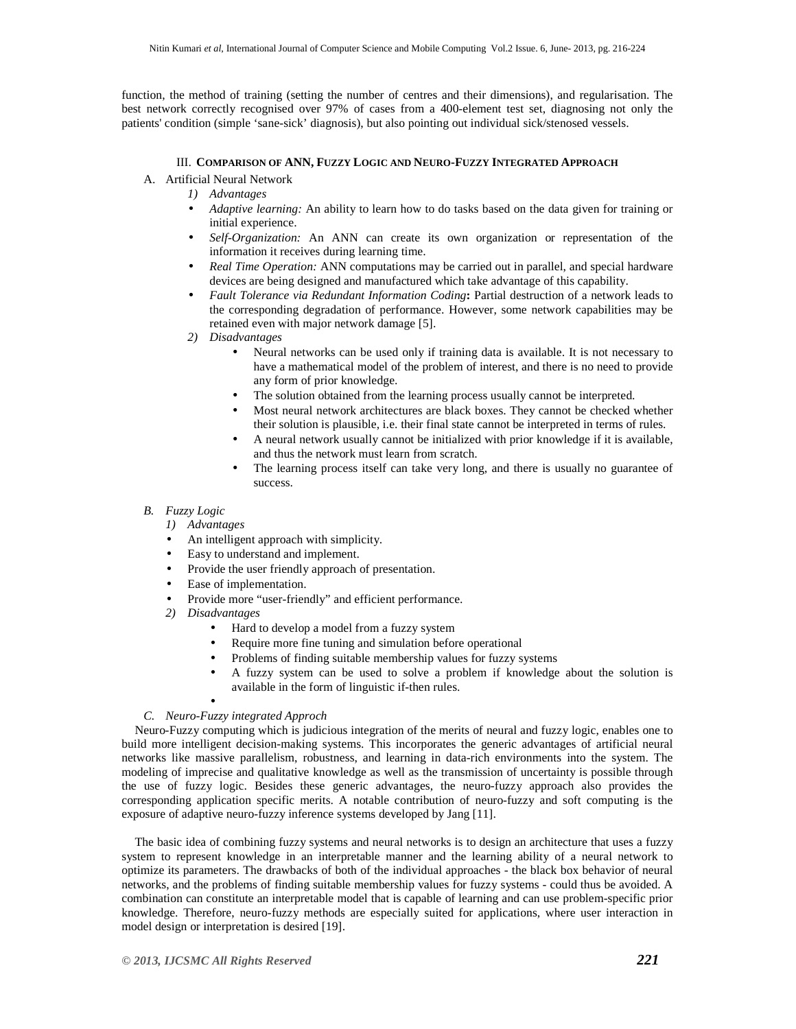function, the method of training (setting the number of centres and their dimensions), and regularisation. The best network correctly recognised over 97% of cases from a 400-element test set, diagnosing not only the patients' condition (simple 'sane-sick' diagnosis), but also pointing out individual sick/stenosed vessels.

# III. **COMPARISON OF ANN, FUZZY LOGIC AND NEURO-FUZZY INTEGRATED APPROACH**

- A. Artificial Neural Network
	- *1) Advantages*
	- *Adaptive learning:* An ability to learn how to do tasks based on the data given for training or initial experience.
	- *Self-Organization:* An ANN can create its own organization or representation of the information it receives during learning time.
	- *Real Time Operation:* ANN computations may be carried out in parallel, and special hardware devices are being designed and manufactured which take advantage of this capability.
	- *Fault Tolerance via Redundant Information Coding***:** Partial destruction of a network leads to the corresponding degradation of performance. However, some network capabilities may be retained even with major network damage [5].
	- *2) Disadvantages* 
		- Neural networks can be used only if training data is available. It is not necessary to have a mathematical model of the problem of interest, and there is no need to provide any form of prior knowledge.
		- The solution obtained from the learning process usually cannot be interpreted.
		- Most neural network architectures are black boxes. They cannot be checked whether their solution is plausible, i.e. their final state cannot be interpreted in terms of rules.
		- A neural network usually cannot be initialized with prior knowledge if it is available, and thus the network must learn from scratch.
		- The learning process itself can take very long, and there is usually no guarantee of success.

## *B. Fuzzy Logic*

- *1) Advantages*
- An intelligent approach with simplicity.
- Easy to understand and implement.
- Provide the user friendly approach of presentation.
- Ease of implementation.
- Provide more "user-friendly" and efficient performance.
- *2) Disadvantages* 
	- Hard to develop a model from a fuzzy system
	- Require more fine tuning and simulation before operational
	- Problems of finding suitable membership values for fuzzy systems
	- A fuzzy system can be used to solve a problem if knowledge about the solution is available in the form of linguistic if-then rules.
	- •

# *C. Neuro-Fuzzy integrated Approch*

Neuro-Fuzzy computing which is judicious integration of the merits of neural and fuzzy logic, enables one to build more intelligent decision-making systems. This incorporates the generic advantages of artificial neural networks like massive parallelism, robustness, and learning in data-rich environments into the system. The modeling of imprecise and qualitative knowledge as well as the transmission of uncertainty is possible through the use of fuzzy logic. Besides these generic advantages, the neuro-fuzzy approach also provides the corresponding application specific merits. A notable contribution of neuro-fuzzy and soft computing is the exposure of adaptive neuro-fuzzy inference systems developed by Jang [11].

The basic idea of combining fuzzy systems and neural networks is to design an architecture that uses a fuzzy system to represent knowledge in an interpretable manner and the learning ability of a neural network to optimize its parameters. The drawbacks of both of the individual approaches - the black box behavior of neural networks, and the problems of finding suitable membership values for fuzzy systems - could thus be avoided. A combination can constitute an interpretable model that is capable of learning and can use problem-specific prior knowledge. Therefore, neuro-fuzzy methods are especially suited for applications, where user interaction in model design or interpretation is desired [19].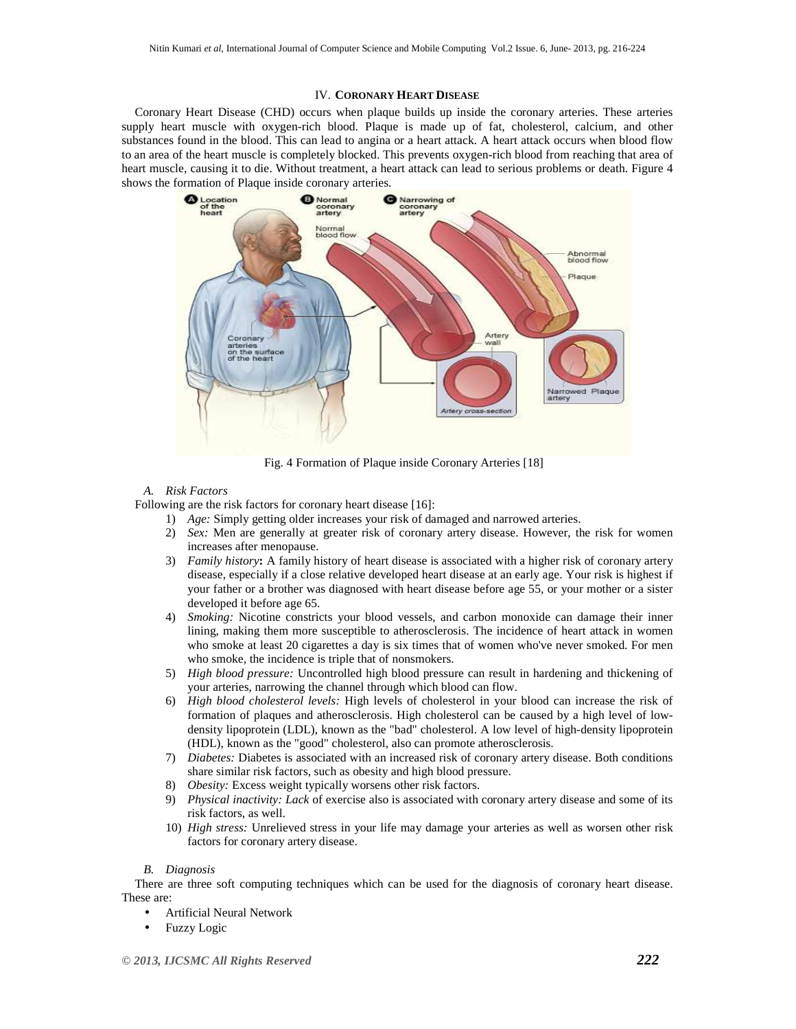## IV. **CORONARY HEART DISEASE**

Coronary Heart Disease (CHD) occurs when plaque builds up inside the coronary arteries. These arteries supply heart muscle with oxygen-rich blood. Plaque is made up of fat, cholesterol, calcium, and other substances found in the blood. This can lead to angina or a heart attack. A heart attack occurs when blood flow to an area of the heart muscle is completely blocked. This prevents oxygen-rich blood from reaching that area of heart muscle, causing it to die. Without treatment, a heart attack can lead to serious problems or death. Figure 4 shows the formation of Plaque inside coronary arteries.



Fig. 4 Formation of Plaque inside Coronary Arteries [18]

## *A. Risk Factors*

Following are the risk factors for coronary heart disease [16]:

- 1) *Age:* Simply getting older increases your risk of damaged and narrowed arteries.
- 2) *Sex:* Men are generally at greater risk of coronary artery disease. However, the risk for women increases after menopause.
- 3) *Family history***:** A family history of heart disease is associated with a higher risk of coronary artery disease, especially if a close relative developed heart disease at an early age. Your risk is highest if your father or a brother was diagnosed with heart disease before age 55, or your mother or a sister developed it before age 65.
- 4) *Smoking:* Nicotine constricts your blood vessels, and carbon monoxide can damage their inner lining, making them more susceptible to atherosclerosis. The incidence of heart attack in women who smoke at least 20 cigarettes a day is six times that of women who've never smoked. For men who smoke, the incidence is triple that of nonsmokers.
- 5) *High blood pressure:* Uncontrolled high blood pressure can result in hardening and thickening of your arteries, narrowing the channel through which blood can flow.
- 6) *High blood cholesterol levels:* High levels of cholesterol in your blood can increase the risk of formation of plaques and atherosclerosis. High cholesterol can be caused by a high level of lowdensity lipoprotein (LDL), known as the "bad" cholesterol. A low level of high-density lipoprotein (HDL), known as the "good" cholesterol, also can promote atherosclerosis.
- 7) *Diabetes:* Diabetes is associated with an increased risk of coronary artery disease. Both conditions share similar risk factors, such as obesity and high blood pressure.
- 8) *Obesity:* Excess weight typically worsens other risk factors.
- 9) *Physical inactivity: Lack* of exercise also is associated with coronary artery disease and some of its risk factors, as well.
- 10) *High stress:* Unrelieved stress in your life may damage your arteries as well as worsen other risk factors for coronary artery disease.

#### *B. Diagnosis*

There are three soft computing techniques which can be used for the diagnosis of coronary heart disease. These are:

- Artificial Neural Network
- Fuzzy Logic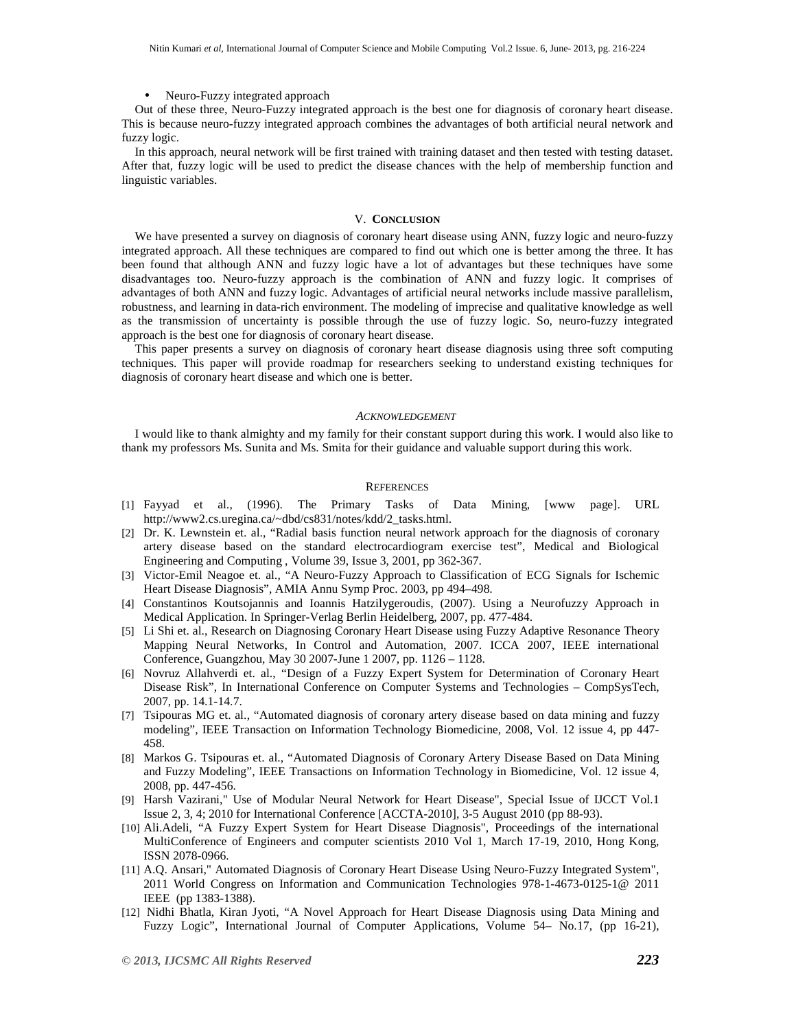#### • Neuro-Fuzzy integrated approach

Out of these three, Neuro-Fuzzy integrated approach is the best one for diagnosis of coronary heart disease. This is because neuro-fuzzy integrated approach combines the advantages of both artificial neural network and fuzzy logic.

In this approach, neural network will be first trained with training dataset and then tested with testing dataset. After that, fuzzy logic will be used to predict the disease chances with the help of membership function and linguistic variables.

#### V. **CONCLUSION**

We have presented a survey on diagnosis of coronary heart disease using ANN, fuzzy logic and neuro-fuzzy integrated approach. All these techniques are compared to find out which one is better among the three. It has been found that although ANN and fuzzy logic have a lot of advantages but these techniques have some disadvantages too. Neuro-fuzzy approach is the combination of ANN and fuzzy logic. It comprises of advantages of both ANN and fuzzy logic. Advantages of artificial neural networks include massive parallelism, robustness, and learning in data-rich environment. The modeling of imprecise and qualitative knowledge as well as the transmission of uncertainty is possible through the use of fuzzy logic. So, neuro-fuzzy integrated approach is the best one for diagnosis of coronary heart disease.

This paper presents a survey on diagnosis of coronary heart disease diagnosis using three soft computing techniques. This paper will provide roadmap for researchers seeking to understand existing techniques for diagnosis of coronary heart disease and which one is better.

#### *ACKNOWLEDGEMENT*

I would like to thank almighty and my family for their constant support during this work. I would also like to thank my professors Ms. Sunita and Ms. Smita for their guidance and valuable support during this work.

## **REFERENCES**

- [1] Fayyad et al., (1996). The Primary Tasks of Data Mining, [www page]. URL http://www2.cs.uregina.ca/~dbd/cs831/notes/kdd/2\_tasks.html.
- [2] Dr. K. Lewnstein et. al., "Radial basis function neural network approach for the diagnosis of coronary artery disease based on the standard electrocardiogram exercise test", Medical and Biological Engineering and Computing , Volume 39, Issue 3, 2001, pp 362-367.
- [3] Victor-Emil Neagoe et. al., "A Neuro-Fuzzy Approach to Classification of ECG Signals for Ischemic Heart Disease Diagnosis", AMIA Annu Symp Proc. 2003, pp 494–498.
- [4] Constantinos Koutsojannis and Ioannis Hatzilygeroudis, (2007). Using a Neurofuzzy Approach in Medical Application. In Springer-Verlag Berlin Heidelberg, 2007, pp. 477-484.
- [5] Li Shi et. al., Research on Diagnosing Coronary Heart Disease using Fuzzy Adaptive Resonance Theory Mapping Neural Networks, In Control and Automation, 2007. ICCA 2007, IEEE international Conference, Guangzhou, May 30 2007-June 1 2007, pp. 1126 – 1128.
- [6] Novruz Allahverdi et. al., "Design of a Fuzzy Expert System for Determination of Coronary Heart Disease Risk", In International Conference on Computer Systems and Technologies – CompSysTech, 2007, pp. 14.1-14.7.
- [7] Tsipouras MG et. al., "Automated diagnosis of coronary artery disease based on data mining and fuzzy modeling", IEEE Transaction on Information Technology Biomedicine, 2008, Vol. 12 issue 4, pp 447- 458.
- [8] Markos G. Tsipouras et. al., "Automated Diagnosis of Coronary Artery Disease Based on Data Mining and Fuzzy Modeling", IEEE Transactions on Information Technology in Biomedicine, Vol. 12 issue 4, 2008, pp. 447-456.
- [9] Harsh Vazirani," Use of Modular Neural Network for Heart Disease", Special Issue of IJCCT Vol.1 Issue 2, 3, 4; 2010 for International Conference [ACCTA-2010], 3-5 August 2010 (pp 88-93).
- [10] Ali.Adeli, "A Fuzzy Expert System for Heart Disease Diagnosis", Proceedings of the international MultiConference of Engineers and computer scientists 2010 Vol 1, March 17-19, 2010, Hong Kong, ISSN 2078-0966.
- [11] A.Q. Ansari," Automated Diagnosis of Coronary Heart Disease Using Neuro-Fuzzy Integrated System", 2011 World Congress on Information and Communication Technologies 978-1-4673-0125-1@ 2011 IEEE (pp 1383-1388).
- [12] Nidhi Bhatla, Kiran Jyoti, "A Novel Approach for Heart Disease Diagnosis using Data Mining and Fuzzy Logic", International Journal of Computer Applications, Volume 54– No.17, (pp 16-21),